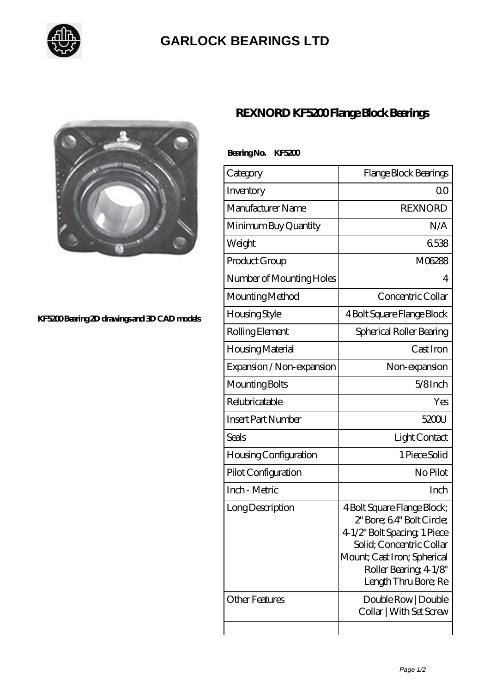

# **[GARLOCK BEARINGS LTD](https://m.letterstopriests.com)**



#### **[KF5200 Bearing 2D drawings and 3D CAD models](https://m.letterstopriests.com/pic-188792.html)**

## **[REXNORD KF5200 Flange Block Bearings](https://m.letterstopriests.com/aI-188792-rexnord-kf5200-flange-block-bearings.html)**

### **Bearing No. KF5200**

| Category                     | Flange Block Bearings                                                                                                                                                                                |
|------------------------------|------------------------------------------------------------------------------------------------------------------------------------------------------------------------------------------------------|
| Inventory                    | $\Omega$ <sup>O</sup>                                                                                                                                                                                |
| Manufacturer Name            | <b>REXNORD</b>                                                                                                                                                                                       |
| Minimum Buy Quantity         | N/A                                                                                                                                                                                                  |
| Weight                       | 6538                                                                                                                                                                                                 |
| Product Group                | M06288                                                                                                                                                                                               |
| Number of Mounting Holes     | 4                                                                                                                                                                                                    |
| Mounting Method              | Concentric Collar                                                                                                                                                                                    |
| Housing Style                | 4 Bolt Square Flange Block                                                                                                                                                                           |
| Rolling Element              | Spherical Roller Bearing                                                                                                                                                                             |
| Housing Material             | Cast Iron                                                                                                                                                                                            |
| Expansion / Non-expansion    | Non-expansion                                                                                                                                                                                        |
| Mounting Bolts               | $5/8$ Inch                                                                                                                                                                                           |
| Relubricatable               | Yes                                                                                                                                                                                                  |
| <b>Insert Part Number</b>    | 5200U                                                                                                                                                                                                |
| Seals                        | Light Contact                                                                                                                                                                                        |
| <b>Housing Configuration</b> | 1 Piece Solid                                                                                                                                                                                        |
| Pilot Configuration          | No Pilot                                                                                                                                                                                             |
| Inch - Metric                | Inch                                                                                                                                                                                                 |
| Long Description             | 4 Bolt Square Flange Block;<br>2" Bore; 64" Bolt Circle;<br>4 1/2" Bolt Spacing 1 Piece<br>Solid; Concentric Collar<br>Mount; Cast Iron; Spherical<br>Roller Bearing, 4 1/8"<br>Length Thru Bore; Re |
| <b>Other Features</b>        | Double Row   Double<br>Collar   With Set Screw                                                                                                                                                       |
|                              |                                                                                                                                                                                                      |